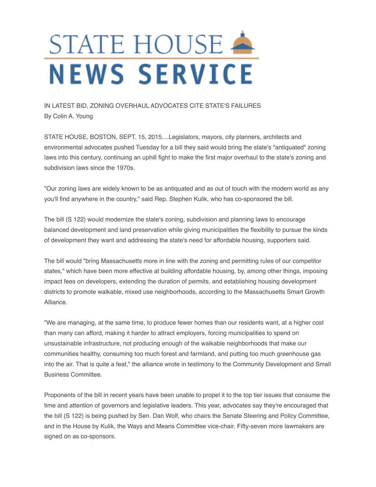## STATE HOUSE **NEWS SERVICE**

## IN LATEST BID, ZONING OVERHAUL ADVOCATES CITE STATE'S FAILURES By Colin A. Young

STATE HOUSE, BOSTON, SEPT. 15, 2015....Legislators, mayors, city planners, architects and environmental advocates pushed Tuesday for a bill they said would bring the state's "antiquated" zoning laws into this century, continuing an uphill fight to make the first major overhaul to the state's zoning and subdivision laws since the 1970s.

"Our zoning laws are widely known to be as antiquated and as out of touch with the modern world as any you'll find anywhere in the country," said Rep. Stephen Kulik, who has co-sponsored the bill.

The bill (S 122) would modernize the state's zoning, subdivision and planning laws to encourage balanced development and land preservation while giving municipalities the flexibility to pursue the kinds of development they want and addressing the state's need for affordable housing, supporters said.

The bill would "bring Massachusetts more in line with the zoning and permitting rules of our competitor states," which have been more effective at building affordable housing, by, among other things, imposing impact fees on developers, extending the duration of permits, and establishing housing development districts to promote walkable, mixed use neighborhoods, according to the Massachusetts Smart Growth Alliance.

"We are managing, at the same time, to produce fewer homes than our residents want, at a higher cost than many can afford, making it harder to attract employers, forcing municipalities to spend on unsustainable infrastructure, not producing enough of the walkable neighborhoods that make our communities healthy, consuming too much forest and farmland, and putting too much greenhouse gas into the air. That is quite a feat," the alliance wrote in testimony to the Community Development and Small Business Committee.

Proponents of the bill in recent years have been unable to propel it to the top tier issues that consume the time and attention of governors and legislative leaders. This year, advocates say they're encouraged that the bill (S 122) is being pushed by Sen. Dan Wolf, who chairs the Senate Steering and Policy Committee, and in the House by Kulik, the Ways and Means Committee vice-chair. Fifty-seven more lawmakers are signed on as co-sponsors.